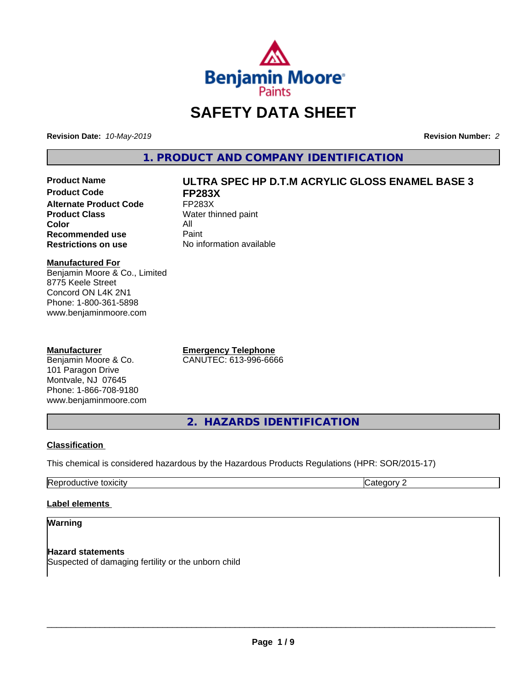

## **SAFETY DATA SHEET**

**Revision Date:** *10-May-2019* **Revision Number:** *2*

**1. PRODUCT AND COMPANY IDENTIFICATION**

**Product Code FP283X Alternate Product Code** FP283X<br> **Product Class** Water th **Color** All<br> **Recommended use** Paint **Recommended use**<br>Restrictions on use

# **Product Name ULTRA SPEC HP D.T.M ACRYLIC GLOSS ENAMEL BASE 3**

**Water thinned paint No information available** 

#### **Manufactured For**

Benjamin Moore & Co., Limited 8775 Keele Street Concord ON L4K 2N1 Phone: 1-800-361-5898 www.benjaminmoore.com

#### **Manufacturer**

Benjamin Moore & Co. 101 Paragon Drive Montvale, NJ 07645 Phone: 1-866-708-9180 www.benjaminmoore.com **Emergency Telephone** CANUTEC: 613-996-6666

**2. HAZARDS IDENTIFICATION**

#### **Classification**

This chemical is considered hazardous by the Hazardous Products Regulations (HPR: SOR/2015-17)

| . .<br>.<br>. .<br>— —<br>.<br><br>,,, |  |
|----------------------------------------|--|
|                                        |  |

#### **Label elements**

#### **Warning**

**Hazard statements** Suspected of damaging fertility or the unborn child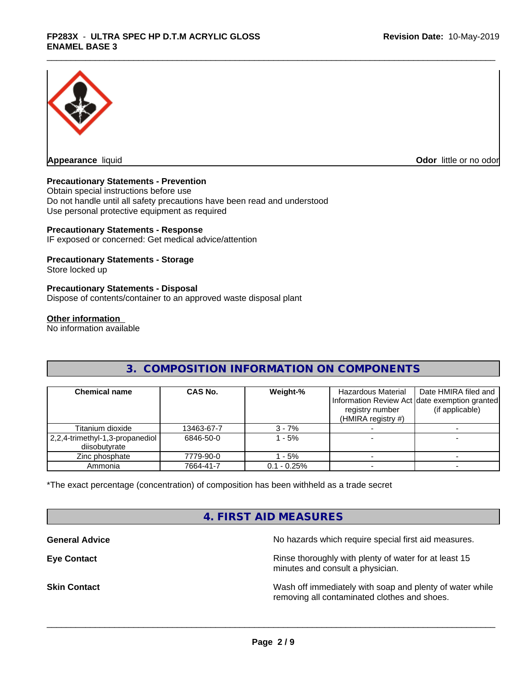

**Appearance** liquid **CODO** *Appearance liquid* **Odor** *CODO CODO* **<b>***CODO CODO CODO CODO CODO* 

#### **Precautionary Statements - Prevention**

Obtain special instructions before use Do not handle until all safety precautions have been read and understood Use personal protective equipment as required

#### **Precautionary Statements - Response**

IF exposed or concerned: Get medical advice/attention

#### **Precautionary Statements - Storage**

Store locked up

#### **Precautionary Statements - Disposal**

Dispose of contents/container to an approved waste disposal plant

#### **Other information**

No information available

### **3. COMPOSITION INFORMATION ON COMPONENTS**

| <b>Chemical name</b>                             | CAS No.    | Weight-%      | Hazardous Material<br>registry number<br>(HMIRA registry $#$ ) | Date HMIRA filed and<br>Information Review Act date exemption granted<br>(if applicable) |
|--------------------------------------------------|------------|---------------|----------------------------------------------------------------|------------------------------------------------------------------------------------------|
| Titanium dioxide                                 | 13463-67-7 | $3 - 7%$      |                                                                |                                                                                          |
| 2,2,4-trimethyl-1,3-propanediol<br>diisobutvrate | 6846-50-0  | $-5%$         |                                                                |                                                                                          |
| Zinc phosphate                                   | 7779-90-0  | - 5%          |                                                                |                                                                                          |
| Ammonia                                          | 7664-41-7  | $0.1 - 0.25%$ |                                                                |                                                                                          |

\*The exact percentage (concentration) of composition has been withheld as a trade secret

### **4. FIRST AID MEASURES**

**General Advice General Advice No hazards which require special first aid measures.** 

**Eye Contact Exercise 2.1 All 2.5 All 2.5 All 2.6 All 2.6 All 2.6 All 2.6 All 2.6 All 2.6 All 2.6 All 2.6 All 2.6 All 2.6 All 2.6 All 2.6 All 2.6 All 2.6 All 2.6 All 2.6 All 2.6 All 2.6 All 2.6 All 2.6 All 2.6 All 2.6 Al** minutes and consult a physician.

**Skin Contact** Same of the Mash off immediately with soap and plenty of water while removing all contaminated clothes and shoes.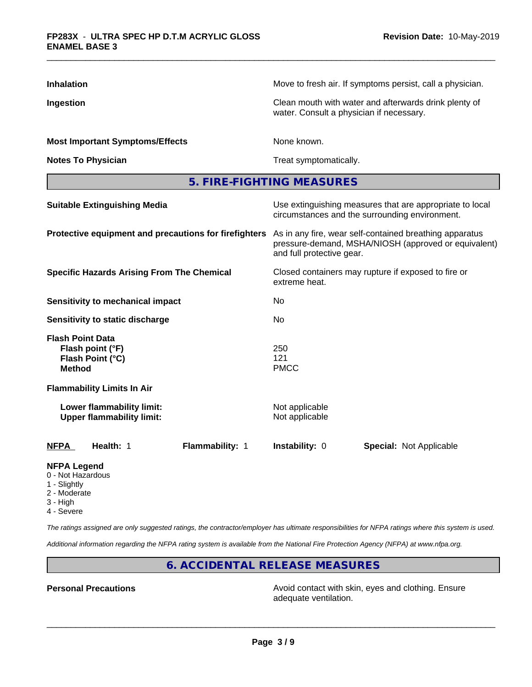| <b>Inhalation</b>                                                                | Move to fresh air. If symptoms persist, call a physician.                                                                                    |
|----------------------------------------------------------------------------------|----------------------------------------------------------------------------------------------------------------------------------------------|
| Ingestion                                                                        | Clean mouth with water and afterwards drink plenty of<br>water. Consult a physician if necessary.                                            |
| <b>Most Important Symptoms/Effects</b>                                           | None known.                                                                                                                                  |
| <b>Notes To Physician</b>                                                        | Treat symptomatically.                                                                                                                       |
|                                                                                  | 5. FIRE-FIGHTING MEASURES                                                                                                                    |
| <b>Suitable Extinguishing Media</b>                                              | Use extinguishing measures that are appropriate to local<br>circumstances and the surrounding environment.                                   |
| Protective equipment and precautions for firefighters                            | As in any fire, wear self-contained breathing apparatus<br>pressure-demand, MSHA/NIOSH (approved or equivalent)<br>and full protective gear. |
| <b>Specific Hazards Arising From The Chemical</b>                                | Closed containers may rupture if exposed to fire or<br>extreme heat.                                                                         |
| Sensitivity to mechanical impact                                                 | No                                                                                                                                           |
| Sensitivity to static discharge                                                  | No                                                                                                                                           |
| <b>Flash Point Data</b><br>Flash point (°F)<br>Flash Point (°C)<br><b>Method</b> | 250<br>121<br><b>PMCC</b>                                                                                                                    |
| <b>Flammability Limits In Air</b>                                                |                                                                                                                                              |
| Lower flammability limit:<br><b>Upper flammability limit:</b>                    | Not applicable<br>Not applicable                                                                                                             |
| <b>NFPA</b><br>Health: 1<br>Flammability: 1                                      | Instability: 0<br><b>Special: Not Applicable</b>                                                                                             |
| <b>NFPA Legend</b>                                                               |                                                                                                                                              |

- 0 Not Hazardous
- 1 Slightly
- 2 Moderate
- 3 High
- 4 Severe

*The ratings assigned are only suggested ratings, the contractor/employer has ultimate responsibilities for NFPA ratings where this system is used.*

*Additional information regarding the NFPA rating system is available from the National Fire Protection Agency (NFPA) at www.nfpa.org.*

### **6. ACCIDENTAL RELEASE MEASURES**

**Personal Precautions Precautions** Avoid contact with skin, eyes and clothing. Ensure adequate ventilation.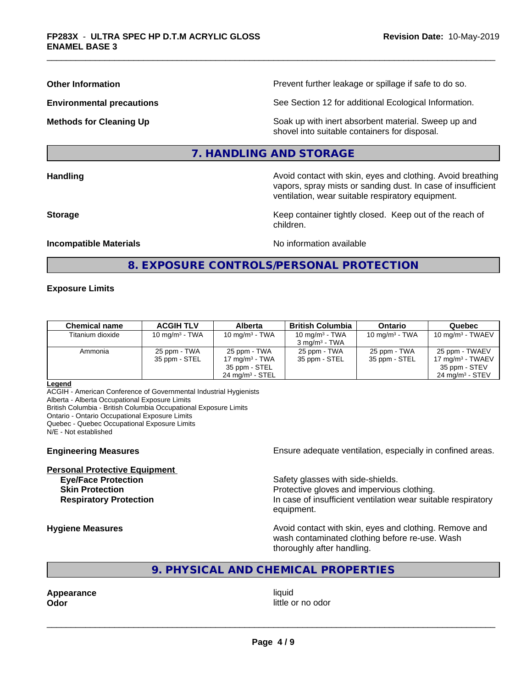**Other Information Determined Information Prevent further leakage or spillage if safe to do so.** 

**Environmental precautions** See Section 12 for additional Ecological Information.

**Methods for Cleaning Up Example 20 All 20 All 20 All 20 Soak** up with inert absorbent material. Sweep up and shovel into suitable containers for disposal.

#### **7. HANDLING AND STORAGE**

**Handling Handling Avoid contact with skin, eyes and clothing. Avoid breathing** vapors, spray mists or sanding dust. In case of insufficient ventilation, wear suitable respiratory equipment.

**Storage Keep container tightly closed. Keep out of the reach of Keep** container tightly closed. Keep out of the reach of children.

#### **Incompatible Materials Incompatible Materials No information available**

### **8. EXPOSURE CONTROLS/PERSONAL PROTECTION**

#### **Exposure Limits**

| Chemical name    | <b>ACGIH TLV</b> | <b>Alberta</b>             | <b>British Columbia</b>  | <b>Ontario</b>    | Quebec                     |
|------------------|------------------|----------------------------|--------------------------|-------------------|----------------------------|
| Titanium dioxide | 10 $mq/m3$ - TWA | 10 mg/m $3$ - TWA          | 10 mg/m $3$ - TWA        | 10 mg/m $3$ - TWA | 10 mg/m $3$ - TWAEV        |
|                  |                  |                            | $3 \text{ ma/m}^3$ - TWA |                   |                            |
| Ammonia          | 25 ppm - TWA     | 25 ppm - TWA               | 25 ppm - TWA             | 25 ppm - TWA      | 25 ppm - TWAEV             |
|                  | 35 ppm - STEL    | 17 mg/m $3$ - TWA          | 35 ppm - STEL            | 35 ppm - STEL     | 17 mg/m $3$ - TWAEV        |
|                  |                  | 35 ppm - STEL              |                          |                   | 35 ppm - STEV              |
|                  |                  | $24 \text{ ma/m}^3$ - STEL |                          |                   | $24 \text{ ma/m}^3$ - STEV |

#### **Legend**

ACGIH - American Conference of Governmental Industrial Hygienists

Alberta - Alberta Occupational Exposure Limits

British Columbia - British Columbia Occupational Exposure Limits

Ontario - Ontario Occupational Exposure Limits

Quebec - Quebec Occupational Exposure Limits

N/E - Not established

# **Personal Protective Equipment**

**Engineering Measures Ensure** Ensure adequate ventilation, especially in confined areas.

**Eye/Face Protection Safety glasses with side-shields. Skin Protection Protection Protective gloves and impervious clothing. Respiratory Protection In case of insufficient ventilation wear suitable respiratory** equipment.

**Hygiene Measures Avoid contact with skin, eyes and clothing. Remove and Avoid contact with skin, eyes and clothing. Remove and Avoid contact with skin, eyes and clothing. Remove and** wash contaminated clothing before re-use. Wash thoroughly after handling.

#### **9. PHYSICAL AND CHEMICAL PROPERTIES**

**Appearance** liquid

**Odor Odor Odor Odor Odor** *CODOR CODOR CODOR CODOR CODOR CODOR CODOR CODOR CODOR CODOR CODOR CODOR CODOR CODOR CODOR CODOR CODOR CODOR CODOR*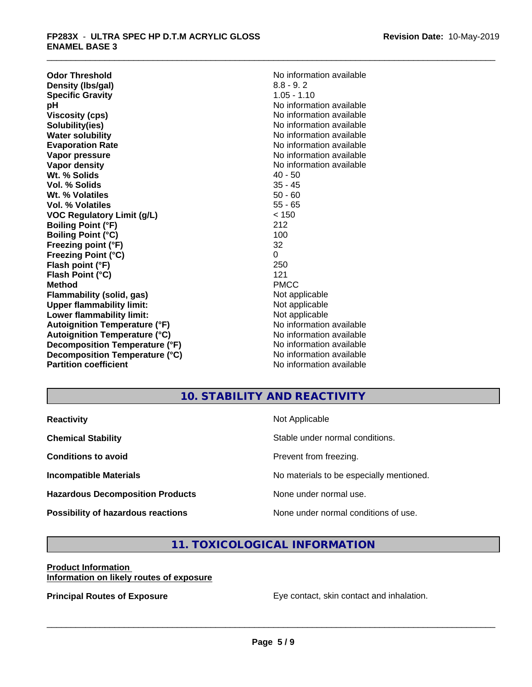**Odor Threshold**<br> **Density (Ibs/gal)**<br> **Density (Ibs/gal)**<br> **No information available**<br>  $8.8 - 9.2$ **Density (Ibs/gal)** 8.8 - 9. 2<br> **Specific Gravity** 8.8 - 1.10 **Specific Gravity**<br>pH **Viscosity (cps)** No information available **Solubility(ies)** No information available **Water solubility** No information available **Evaporation Rate No information available No information available Vapor pressure** No information available **No information** available **Vapor density**  $\blacksquare$  No information available **Wt. % Solids** 40 - 50<br> **Vol. % Solids** 35 - 45 **Vol. % Solids Wt. % Volatiles** 50 - 60 **Vol. % Volatiles VOC Regulatory Limit (g/L)** < 150 **Boiling Point (°F)** 212 **Boiling Point (°C) Freezing point (°F)** 32 **Freezing Point (°C)** 0 **Flash point (°F) Flash Point (°C)** 121 **Method** PMCC **Flammability (solid, gas)** Not applicable **Upper flammability limit:**<br> **Lower flammability limit:**<br>
Not applicable<br>
Not applicable **Lower flammability limit:**<br> **Autoignition Temperature (°F)**<br>
Mo information available **Autoignition Temperature (°F) Autoignition Temperature (°C)** No information available **Decomposition Temperature (°F)** No information available **Decomposition Temperature (°C)** No information available **Partition coefficient** and the settlement of the No information available

**No information available** 

### **10. STABILITY AND REACTIVITY**

| <b>Reactivity</b>                         | Not Applicable                           |
|-------------------------------------------|------------------------------------------|
| <b>Chemical Stability</b>                 | Stable under normal conditions.          |
| <b>Conditions to avoid</b>                | Prevent from freezing.                   |
| <b>Incompatible Materials</b>             | No materials to be especially mentioned. |
| <b>Hazardous Decomposition Products</b>   | None under normal use.                   |
| <b>Possibility of hazardous reactions</b> | None under normal conditions of use.     |

### **11. TOXICOLOGICAL INFORMATION**

#### **Product Information Information on likely routes of exposure**

**Principal Routes of Exposure Exposure** Eye contact, skin contact and inhalation.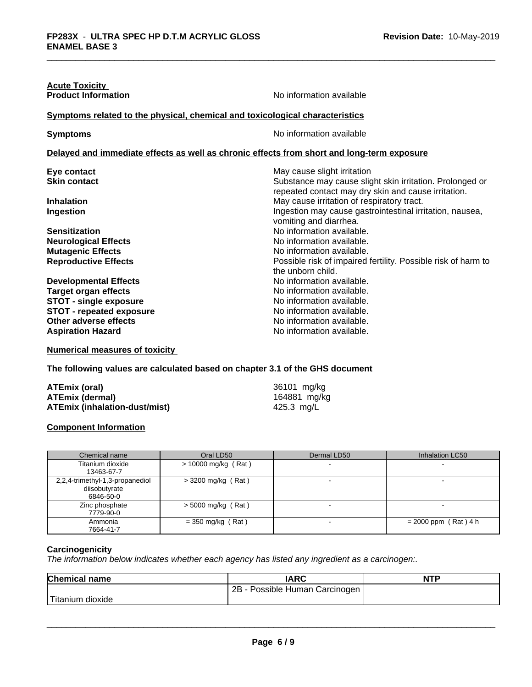| <b>Acute Toxicity</b>                                                        |                                                                                                                 |
|------------------------------------------------------------------------------|-----------------------------------------------------------------------------------------------------------------|
| <b>Product Information</b>                                                   | No information available                                                                                        |
| Symptoms related to the physical, chemical and toxicological characteristics |                                                                                                                 |
| <b>Symptoms</b>                                                              | No information available                                                                                        |
|                                                                              | Delayed and immediate effects as well as chronic effects from short and long-term exposure                      |
| Eye contact                                                                  | May cause slight irritation                                                                                     |
| <b>Skin contact</b>                                                          | Substance may cause slight skin irritation. Prolonged or<br>repeated contact may dry skin and cause irritation. |
| <b>Inhalation</b>                                                            | May cause irritation of respiratory tract.                                                                      |
| Ingestion                                                                    | Ingestion may cause gastrointestinal irritation, nausea,<br>vomiting and diarrhea.                              |
| <b>Sensitization</b>                                                         | No information available.                                                                                       |
| <b>Neurological Effects</b>                                                  | No information available.                                                                                       |
| <b>Mutagenic Effects</b>                                                     | No information available.                                                                                       |
| <b>Reproductive Effects</b>                                                  | Possible risk of impaired fertility. Possible risk of harm to<br>the unborn child.                              |
| <b>Developmental Effects</b>                                                 | No information available.                                                                                       |
| <b>Target organ effects</b>                                                  | No information available.                                                                                       |
| <b>STOT - single exposure</b>                                                | No information available.                                                                                       |
| <b>STOT - repeated exposure</b>                                              | No information available.                                                                                       |
| Other adverse effects                                                        | No information available.                                                                                       |
| <b>Aspiration Hazard</b>                                                     | No information available.                                                                                       |
|                                                                              |                                                                                                                 |

**Numerical measures of toxicity**

**The following values are calculated based on chapter 3.1 of the GHS document**

| ATEmix (oral)                 | 36101 mg/kg  |
|-------------------------------|--------------|
| <b>ATEmix (dermal)</b>        | 164881 mg/kg |
| ATEmix (inhalation-dust/mist) | 425.3 mg/L   |

#### **Component Information**

| Chemical name                                                 | Oral LD50             | Dermal LD50 | Inhalation LC50        |
|---------------------------------------------------------------|-----------------------|-------------|------------------------|
| Titanium dioxide<br>13463-67-7                                | $> 10000$ mg/kg (Rat) |             |                        |
| 2,2,4-trimethyl-1,3-propanediol<br>diisobutyrate<br>6846-50-0 | $>$ 3200 mg/kg (Rat)  |             |                        |
| Zinc phosphate<br>7779-90-0                                   | $>$ 5000 mg/kg (Rat)  |             |                        |
| Ammonia<br>7664-41-7                                          | $=$ 350 mg/kg (Rat)   |             | $= 2000$ ppm (Rat) 4 h |

#### **Carcinogenicity**

*The information below indicateswhether each agency has listed any ingredient as a carcinogen:.*

| <b>Chemical name</b> | <b>IARC</b>                         | NITO<br>NH |
|----------------------|-------------------------------------|------------|
|                      | - Possible Human Carcinogen I<br>2B |            |
| Titanium<br>dioxide  |                                     |            |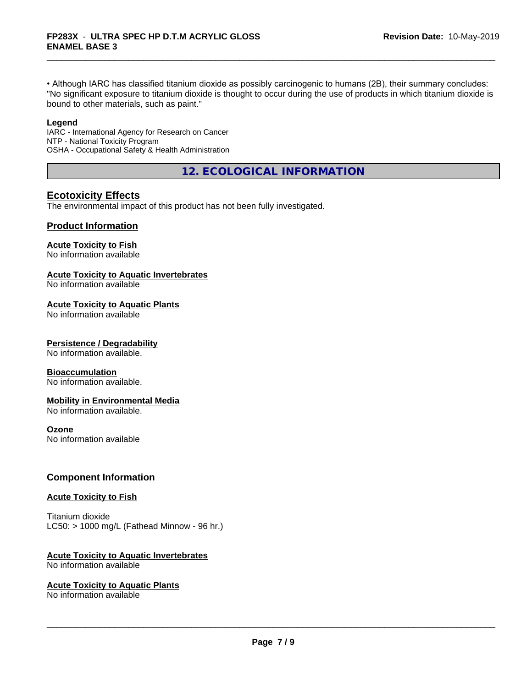• Although IARC has classified titanium dioxide as possibly carcinogenic to humans (2B), their summary concludes: "No significant exposure to titanium dioxide is thought to occur during the use of products in which titanium dioxide is bound to other materials, such as paint."

#### **Legend**

IARC - International Agency for Research on Cancer NTP - National Toxicity Program OSHA - Occupational Safety & Health Administration

**12. ECOLOGICAL INFORMATION**

### **Ecotoxicity Effects**

The environmental impact of this product has not been fully investigated.

#### **Product Information**

#### **Acute Toxicity to Fish**

No information available

#### **Acute Toxicity to Aquatic Invertebrates**

No information available

#### **Acute Toxicity to Aquatic Plants**

No information available

#### **Persistence / Degradability**

No information available.

#### **Bioaccumulation**

No information available.

#### **Mobility in Environmental Media**

No information available.

#### **Ozone**

No information available

#### **Component Information**

#### **Acute Toxicity to Fish**

Titanium dioxide  $LC50:$  > 1000 mg/L (Fathead Minnow - 96 hr.)

#### **Acute Toxicity to Aquatic Invertebrates**

No information available

#### **Acute Toxicity to Aquatic Plants**

No information available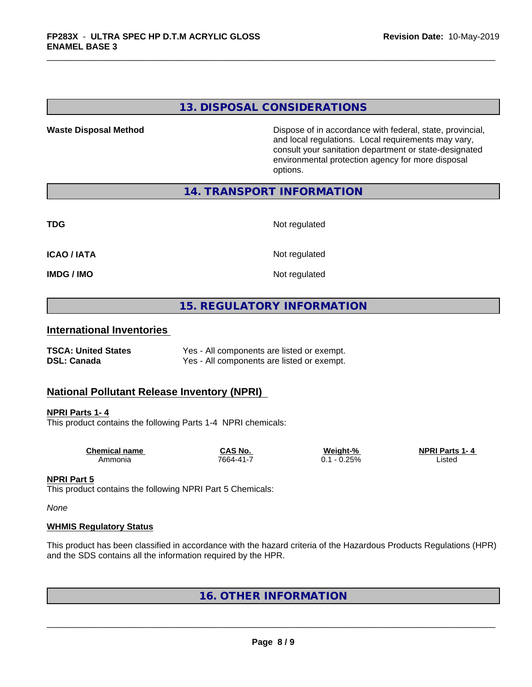### **13. DISPOSAL CONSIDERATIONS**

**Waste Disposal Method Dispose of in accordance with federal, state, provincial,** and local regulations. Local requirements may vary, consult your sanitation department or state-designated environmental protection agency for more disposal options.

#### **14. TRANSPORT INFORMATION**

**TDG** Not regulated

**ICAO / IATA** Not regulated

**IMDG / IMO** Not regulated

### **15. REGULATORY INFORMATION**

#### **International Inventories**

| <b>TSCA: United States</b> | Yes - All components are listed or exempt. |
|----------------------------|--------------------------------------------|
| <b>DSL: Canada</b>         | Yes - All components are listed or exempt. |

#### **National Pollutant Release Inventory (NPRI)**

#### **NPRI Parts 1- 4**

This product contains the following Parts 1-4 NPRI chemicals:

| Chemical name | CAS No.   | Weight-%       | <b>NPRI Parts 1-4</b> |  |
|---------------|-----------|----------------|-----------------------|--|
| Ammonia       | 7664-41-7 | $-0.25%$<br>◡. | ∟isted                |  |

#### **NPRI Part 5**

This product contains the following NPRI Part 5 Chemicals:

*None*

#### **WHMIS Regulatory Status**

This product has been classified in accordance with the hazard criteria of the Hazardous Products Regulations (HPR) and the SDS contains all the information required by the HPR.

**16. OTHER INFORMATION**